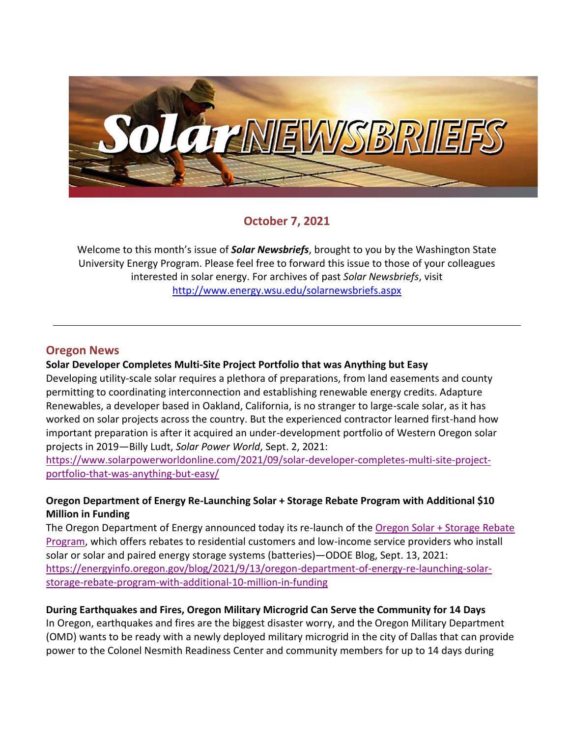

# **October 7, 2021**

Welcome to this month's issue of *Solar Newsbriefs*, brought to you by the Washington State University Energy Program. Please feel free to forward this issue to those of your colleagues interested in solar energy. For archives of past *Solar Newsbriefs*, visit <http://www.energy.wsu.edu/solarnewsbriefs.aspx>

## **Oregon News**

#### **Solar Developer Completes Multi-Site Project Portfolio that was Anything but Easy**

Developing utility-scale solar requires a plethora of preparations, from land easements and county permitting to coordinating interconnection and establishing renewable energy credits. Adapture Renewables, a developer based in Oakland, California, is no stranger to large-scale solar, as it has worked on solar projects across the country. But the experienced contractor learned first-hand how important preparation is after it acquired an under-development portfolio of Western Oregon solar projects in 2019—Billy Ludt, *Solar Power World*, Sept. 2, 2021:

[https://www.solarpowerworldonline.com/2021/09/solar-developer-completes-multi-site-project](https://www.solarpowerworldonline.com/2021/09/solar-developer-completes-multi-site-project-portfolio-that-was-anything-but-easy/)[portfolio-that-was-anything-but-easy/](https://www.solarpowerworldonline.com/2021/09/solar-developer-completes-multi-site-project-portfolio-that-was-anything-but-easy/)

#### **Oregon Department of Energy Re-Launching Solar + Storage Rebate Program with Additional \$10 Million in Funding**

The Oregon Department of Energy announced today its re-launch of the [Oregon Solar + Storage Rebate](https://www.oregon.gov/energy/Incentives/Pages/Solar-Storage-Rebate-Program.aspx)  [Program,](https://www.oregon.gov/energy/Incentives/Pages/Solar-Storage-Rebate-Program.aspx) which offers rebates to residential customers and low-income service providers who install solar or solar and paired energy storage systems (batteries)—ODOE Blog, Sept. 13, 2021: [https://energyinfo.oregon.gov/blog/2021/9/13/oregon-department-of-energy-re-launching-solar](https://energyinfo.oregon.gov/blog/2021/9/13/oregon-department-of-energy-re-launching-solar-storage-rebate-program-with-additional-10-million-in-funding)[storage-rebate-program-with-additional-10-million-in-funding](https://energyinfo.oregon.gov/blog/2021/9/13/oregon-department-of-energy-re-launching-solar-storage-rebate-program-with-additional-10-million-in-funding)

#### **During Earthquakes and Fires, Oregon Military Microgrid Can Serve the Community for 14 Days**

In Oregon, earthquakes and fires are the biggest disaster worry, and the Oregon Military Department (OMD) wants to be ready with a newly deployed military microgrid in the city of Dallas that can provide power to the Colonel Nesmith Readiness Center and community members for up to 14 days during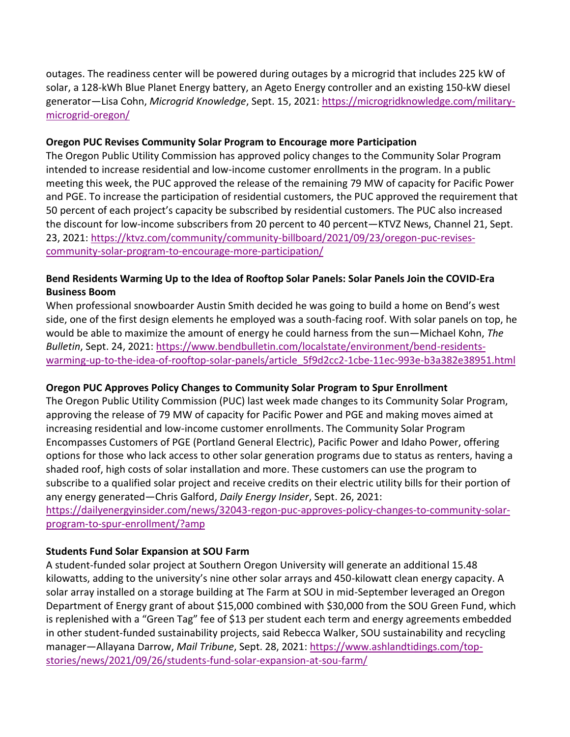outages. The readiness center will be powered during outages by a microgrid that includes 225 kW of solar, a 128-kWh Blue Planet Energy battery, an Ageto Energy controller and an existing 150-kW diesel generator—Lisa Cohn, *Microgrid Knowledge*, Sept. 15, 2021: [https://microgridknowledge.com/military](https://microgridknowledge.com/military-microgrid-oregon/)[microgrid-oregon/](https://microgridknowledge.com/military-microgrid-oregon/)

#### **Oregon PUC Revises Community Solar Program to Encourage more Participation**

The Oregon Public Utility Commission has approved policy changes to the Community Solar Program intended to increase residential and low-income customer enrollments in the program. In a public meeting this week, the PUC approved the release of the remaining 79 MW of capacity for Pacific Power and PGE. To increase the participation of residential customers, the PUC approved the requirement that 50 percent of each project's capacity be subscribed by residential customers. The PUC also increased the discount for low-income subscribers from 20 percent to 40 percent—KTVZ News, Channel 21, Sept. 23, 2021: [https://ktvz.com/community/community-billboard/2021/09/23/oregon-puc-revises](https://ktvz.com/community/community-billboard/2021/09/23/oregon-puc-revises-community-solar-program-to-encourage-more-participation/)[community-solar-program-to-encourage-more-participation/](https://ktvz.com/community/community-billboard/2021/09/23/oregon-puc-revises-community-solar-program-to-encourage-more-participation/)

## **Bend Residents Warming Up to the Idea of Rooftop Solar Panels: Solar Panels Join the COVID-Era Business Boom**

When professional snowboarder Austin Smith decided he was going to build a home on Bend's west side, one of the first design elements he employed was a south-facing roof. With solar panels on top, he would be able to maximize the amount of energy he could harness from the sun—Michael Kohn, *The Bulletin*, Sept. 24, 2021: [https://www.bendbulletin.com/localstate/environment/bend-residents](https://www.bendbulletin.com/localstate/environment/bend-residents-warming-up-to-the-idea-of-rooftop-solar-panels/article_5f9d2cc2-1cbe-11ec-993e-b3a382e38951.html)[warming-up-to-the-idea-of-rooftop-solar-panels/article\\_5f9d2cc2-1cbe-11ec-993e-b3a382e38951.html](https://www.bendbulletin.com/localstate/environment/bend-residents-warming-up-to-the-idea-of-rooftop-solar-panels/article_5f9d2cc2-1cbe-11ec-993e-b3a382e38951.html)

#### **Oregon PUC Approves Policy Changes to Community Solar Program to Spur Enrollment**

The Oregon Public Utility Commission (PUC) last week made changes to its Community Solar Program, approving the release of 79 MW of capacity for Pacific Power and PGE and making moves aimed at increasing residential and low-income customer enrollments. The Community Solar Program Encompasses Customers of PGE (Portland General Electric), Pacific Power and Idaho Power, offering options for those who lack access to other solar generation programs due to status as renters, having a shaded roof, high costs of solar installation and more. These customers can use the program to subscribe to a qualified solar project and receive credits on their electric utility bills for their portion of any energy generated—Chris Galford, *Daily Energy Insider*, Sept. 26, 2021: [https://dailyenergyinsider.com/news/32043-regon-puc-approves-policy-changes-to-community-solar-](https://dailyenergyinsider.com/news/32043-regon-puc-approves-policy-changes-to-community-solar-program-to-spur-enrollment/?amp)

[program-to-spur-enrollment/?amp](https://dailyenergyinsider.com/news/32043-regon-puc-approves-policy-changes-to-community-solar-program-to-spur-enrollment/?amp)

#### **Students Fund Solar Expansion at SOU Farm**

A student-funded solar project at Southern Oregon University will generate an additional 15.48 kilowatts, adding to the university's nine other solar arrays and 450-kilowatt clean energy capacity. A solar array installed on a storage building at The Farm at SOU in mid-September leveraged an Oregon Department of Energy grant of about \$15,000 combined with \$30,000 from the SOU Green Fund, which is replenished with a "Green Tag" fee of \$13 per student each term and energy agreements embedded in other student-funded sustainability projects, said Rebecca Walker, SOU sustainability and recycling manager—Allayana Darrow, *Mail Tribune*, Sept. 28, 2021: [https://www.ashlandtidings.com/top](https://www.ashlandtidings.com/top-stories/news/2021/09/26/students-fund-solar-expansion-at-sou-farm/)[stories/news/2021/09/26/students-fund-solar-expansion-at-sou-farm/](https://www.ashlandtidings.com/top-stories/news/2021/09/26/students-fund-solar-expansion-at-sou-farm/)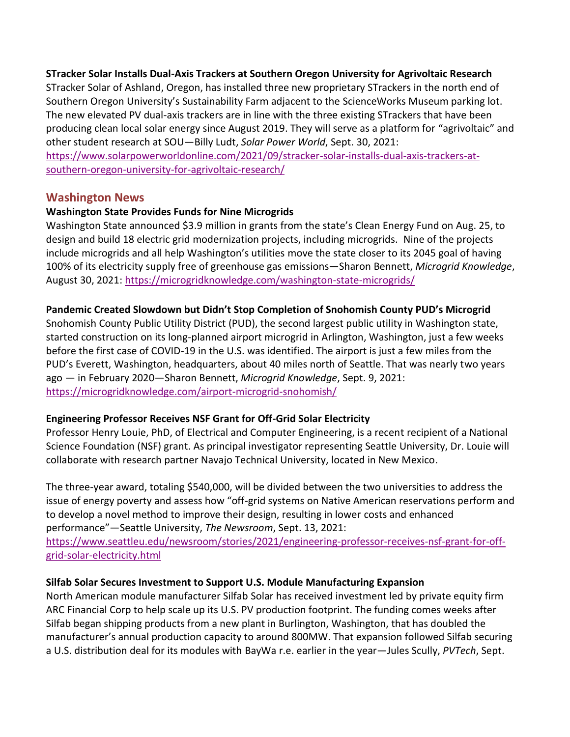#### **STracker Solar Installs Dual-Axis Trackers at Southern Oregon University for Agrivoltaic Research**

STracker Solar of Ashland, Oregon, has installed three new proprietary STrackers in the north end of Southern Oregon University's Sustainability Farm adjacent to the ScienceWorks Museum parking lot. The new elevated PV dual-axis trackers are in line with the three existing STrackers that have been producing clean local solar energy since August 2019. They will serve as a platform for "agrivoltaic" and other student research at SOU—Billy Ludt, *Solar Power World*, Sept. 30, 2021:

[https://www.solarpowerworldonline.com/2021/09/stracker-solar-installs-dual-axis-trackers-at](https://www.solarpowerworldonline.com/2021/09/stracker-solar-installs-dual-axis-trackers-at-southern-oregon-university-for-agrivoltaic-research/)[southern-oregon-university-for-agrivoltaic-research/](https://www.solarpowerworldonline.com/2021/09/stracker-solar-installs-dual-axis-trackers-at-southern-oregon-university-for-agrivoltaic-research/)

#### **Washington News**

#### **Washington State Provides Funds for Nine Microgrids**

Washington State announced \$3.9 million in grants from the state's Clean Energy Fund on Aug. 25, to design and build 18 electric grid modernization projects, including microgrids. Nine of the projects include microgrids and all help Washington's utilities move the state closer to its 2045 goal of having 100% of its electricity supply free of greenhouse gas emissions—Sharon Bennett, *Microgrid Knowledge*, August 30, 2021:<https://microgridknowledge.com/washington-state-microgrids/>

#### **Pandemic Created Slowdown but Didn't Stop Completion of Snohomish County PUD's Microgrid**

Snohomish County Public Utility District (PUD), the second largest public utility in Washington state, started construction on its long-planned airport microgrid in Arlington, Washington, just a few weeks before the first case of COVID-19 in the U.S. was identified. The airport is just a few miles from the PUD's Everett, Washington, headquarters, about 40 miles north of Seattle. That was nearly two years ago — in February 2020—Sharon Bennett, *Microgrid Knowledge*, Sept. 9, 2021: <https://microgridknowledge.com/airport-microgrid-snohomish/>

#### **Engineering Professor Receives NSF Grant for Off-Grid Solar Electricity**

Professor Henry Louie, PhD, of Electrical and Computer Engineering, is a recent recipient of a National Science Foundation (NSF) grant. As principal investigator representing Seattle University, Dr. Louie will collaborate with research partner Navajo Technical University, located in New Mexico.

The three-year award, totaling \$540,000, will be divided between the two universities to address the issue of energy poverty and assess how "off-grid systems on Native American reservations perform and to develop a novel method to improve their design, resulting in lower costs and enhanced performance"—Seattle University, *The Newsroom*, Sept. 13, 2021: [https://www.seattleu.edu/newsroom/stories/2021/engineering-professor-receives-nsf-grant-for-off](https://www.seattleu.edu/newsroom/stories/2021/engineering-professor-receives-nsf-grant-for-off-grid-solar-electricity.html)[grid-solar-electricity.html](https://www.seattleu.edu/newsroom/stories/2021/engineering-professor-receives-nsf-grant-for-off-grid-solar-electricity.html)

#### **Silfab Solar Secures Investment to Support U.S. Module Manufacturing Expansion**

North American module manufacturer Silfab Solar has received investment led by private equity firm ARC Financial Corp to help scale up its U.S. PV production footprint. The funding comes weeks after Silfab began shipping products from a new plant in Burlington, Washington, that has doubled the manufacturer's annual production capacity to around 800MW. That expansion followed Silfab securing a U.S. distribution deal for its modules with BayWa r.e. earlier in the year—Jules Scully, *PVTech*, Sept.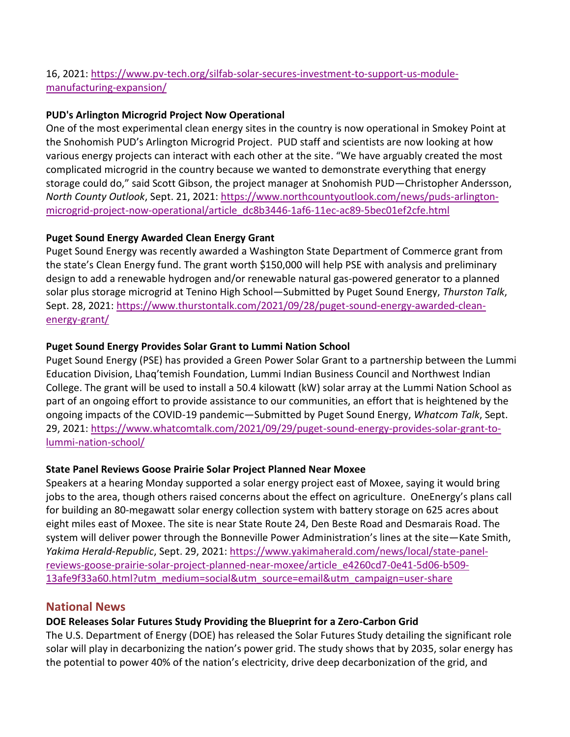# 16, 2021: [https://www.pv-tech.org/silfab-solar-secures-investment-to-support-us-module](https://www.pv-tech.org/silfab-solar-secures-investment-to-support-us-module-manufacturing-expansion/)[manufacturing-expansion/](https://www.pv-tech.org/silfab-solar-secures-investment-to-support-us-module-manufacturing-expansion/)

### **PUD's Arlington Microgrid Project Now Operational**

One of the most experimental clean energy sites in the country is now operational in Smokey Point at the Snohomish PUD's Arlington Microgrid Project. PUD staff and scientists are now looking at how various energy projects can interact with each other at the site. "We have arguably created the most complicated microgrid in the country because we wanted to demonstrate everything that energy storage could do," said Scott Gibson, the project manager at Snohomish PUD—Christopher Andersson, *North County Outlook*, Sept. 21, 2021: [https://www.northcountyoutlook.com/news/puds-arlington](https://www.northcountyoutlook.com/news/puds-arlington-microgrid-project-now-operational/article_dc8b3446-1af6-11ec-ac89-5bec01ef2cfe.html)[microgrid-project-now-operational/article\\_dc8b3446-1af6-11ec-ac89-5bec01ef2cfe.html](https://www.northcountyoutlook.com/news/puds-arlington-microgrid-project-now-operational/article_dc8b3446-1af6-11ec-ac89-5bec01ef2cfe.html)

## **Puget Sound Energy Awarded Clean Energy Grant**

Puget Sound Energy was recently awarded a Washington State Department of Commerce grant from the state's Clean Energy fund. The grant worth \$150,000 will help PSE with analysis and preliminary design to add a renewable hydrogen and/or renewable natural gas-powered generator to a planned solar plus storage microgrid at Tenino High School—Submitted by Puget Sound Energy, *Thurston Talk*, Sept. 28, 2021: [https://www.thurstontalk.com/2021/09/28/puget-sound-energy-awarded-clean](https://www.thurstontalk.com/2021/09/28/puget-sound-energy-awarded-clean-energy-grant/)[energy-grant/](https://www.thurstontalk.com/2021/09/28/puget-sound-energy-awarded-clean-energy-grant/)

## **Puget Sound Energy Provides Solar Grant to Lummi Nation School**

Puget Sound Energy (PSE) has provided a Green Power Solar Grant to a partnership between the Lummi Education Division, Lhaq'temish Foundation, Lummi Indian Business Council and Northwest Indian College. The grant will be used to install a 50.4 kilowatt (kW) solar array at the Lummi Nation School as part of an ongoing effort to provide assistance to our communities, an effort that is heightened by the ongoing impacts of the COVID-19 pandemic—Submitted by Puget Sound Energy, *Whatcom Talk*, Sept. 29, 2021: [https://www.whatcomtalk.com/2021/09/29/puget-sound-energy-provides-solar-grant-to](https://www.whatcomtalk.com/2021/09/29/puget-sound-energy-provides-solar-grant-to-lummi-nation-school/)[lummi-nation-school/](https://www.whatcomtalk.com/2021/09/29/puget-sound-energy-provides-solar-grant-to-lummi-nation-school/)

#### **State Panel Reviews Goose Prairie Solar Project Planned Near Moxee**

Speakers at a hearing Monday supported a solar energy project east of Moxee, saying it would bring jobs to the area, though others raised concerns about the effect on agriculture. OneEnergy's plans call for building an 80-megawatt solar energy collection system with battery storage on 625 acres about eight miles east of Moxee. The site is near State Route 24, Den Beste Road and Desmarais Road. The system will deliver power through the Bonneville Power Administration's lines at the site—Kate Smith, *Yakima Herald-Republic*, Sept. 29, 2021: [https://www.yakimaherald.com/news/local/state-panel](https://www.yakimaherald.com/news/local/state-panel-reviews-goose-prairie-solar-project-planned-near-moxee/article_e4260cd7-0e41-5d06-b509-13afe9f33a60.html?utm_medium=social&utm_source=email&utm_campaign=user-share)[reviews-goose-prairie-solar-project-planned-near-moxee/article\\_e4260cd7-0e41-5d06-b509-](https://www.yakimaherald.com/news/local/state-panel-reviews-goose-prairie-solar-project-planned-near-moxee/article_e4260cd7-0e41-5d06-b509-13afe9f33a60.html?utm_medium=social&utm_source=email&utm_campaign=user-share) [13afe9f33a60.html?utm\\_medium=social&utm\\_source=email&utm\\_campaign=user-share](https://www.yakimaherald.com/news/local/state-panel-reviews-goose-prairie-solar-project-planned-near-moxee/article_e4260cd7-0e41-5d06-b509-13afe9f33a60.html?utm_medium=social&utm_source=email&utm_campaign=user-share)

# **National News**

# **DOE Releases Solar Futures Study Providing the Blueprint for a Zero-Carbon Grid**

The U.S. Department of Energy (DOE) has released the Solar Futures Study detailing the significant role solar will play in decarbonizing the nation's power grid. The study shows that by 2035, solar energy has the potential to power 40% of the nation's electricity, drive deep decarbonization of the grid, and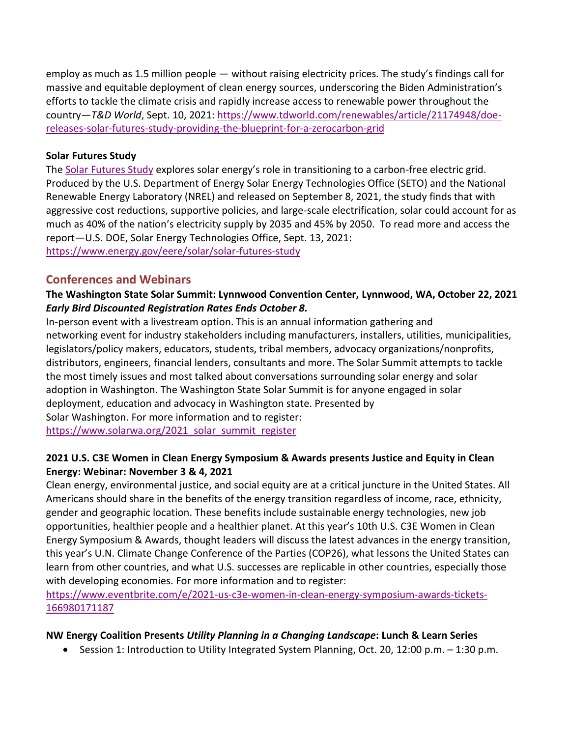employ as much as 1.5 million people — without raising electricity prices. The study's findings call for massive and equitable deployment of clean energy sources, underscoring the Biden Administration's efforts to tackle the climate crisis and rapidly increase access to renewable power throughout the country—*T&D World*, Sept. 10, 2021: [https://www.tdworld.com/renewables/article/21174948/doe](https://www.tdworld.com/renewables/article/21174948/doe-releases-solar-futures-study-providing-the-blueprint-for-a-zerocarbon-grid)[releases-solar-futures-study-providing-the-blueprint-for-a-zerocarbon-grid](https://www.tdworld.com/renewables/article/21174948/doe-releases-solar-futures-study-providing-the-blueprint-for-a-zerocarbon-grid)

#### **Solar Futures Study**

The [Solar Futures Study](https://www.energy.gov/sites/default/files/2021-09/Solar%20Futures%20Study.pdf) explores solar energy's role in transitioning to a carbon-free electric grid. Produced by the U.S. Department of Energy Solar Energy Technologies Office (SETO) and the National Renewable Energy Laboratory (NREL) and released on September 8, 2021, the study finds that with aggressive cost reductions, supportive policies, and large-scale electrification, solar could account for as much as 40% of the nation's electricity supply by 2035 and 45% by 2050. To read more and access the report—U.S. DOE, Solar Energy Technologies Office, Sept. 13, 2021: <https://www.energy.gov/eere/solar/solar-futures-study>

#### **Conferences and Webinars**

# **The Washington State Solar Summit: Lynnwood Convention Center, Lynnwood, WA, October 22, 2021** *Early Bird Discounted Registration Rates Ends October 8.*

In-person event with a livestream option. This is an annual information gathering and networking event for industry stakeholders including manufacturers, installers, utilities, municipalities, legislators/policy makers, educators, students, tribal members, advocacy organizations/nonprofits, distributors, engineers, financial lenders, consultants and more. The Solar Summit attempts to tackle the most timely issues and most talked about conversations surrounding solar energy and solar adoption in Washington. The Washington State Solar Summit is for anyone engaged in solar deployment, education and advocacy in Washington state. Presented by Solar Washington. For more information and to register: [https://www.solarwa.org/2021\\_solar\\_summit\\_register](https://www.solarwa.org/2021_solar_summit_register)

#### **2021 U.S. C3E Women in Clean Energy Symposium & Awards presents Justice and Equity in Clean Energy: Webinar: November 3 & 4, 2021**

Clean energy, environmental justice, and social equity are at a critical juncture in the United States. All Americans should share in the benefits of the energy transition regardless of income, race, ethnicity, gender and geographic location. These benefits include sustainable energy technologies, new job opportunities, healthier people and a healthier planet. At this year's 10th U.S. C3E Women in Clean Energy Symposium & Awards, thought leaders will discuss the latest advances in the energy transition, this year's U.N. Climate Change Conference of the Parties (COP26), what lessons the United States can learn from other countries, and what U.S. successes are replicable in other countries, especially those with developing economies. For more information and to register:

[https://www.eventbrite.com/e/2021-us-c3e-women-in-clean-energy-symposium-awards-tickets-](https://www.eventbrite.com/e/2021-us-c3e-women-in-clean-energy-symposium-awards-tickets-166980171187)[166980171187](https://www.eventbrite.com/e/2021-us-c3e-women-in-clean-energy-symposium-awards-tickets-166980171187)

#### **NW Energy Coalition Presents** *Utility Planning in a Changing Landscape***: Lunch & Learn Series**

Session 1: Introduction to Utility Integrated System Planning, Oct. 20, 12:00 p.m. – 1:30 p.m.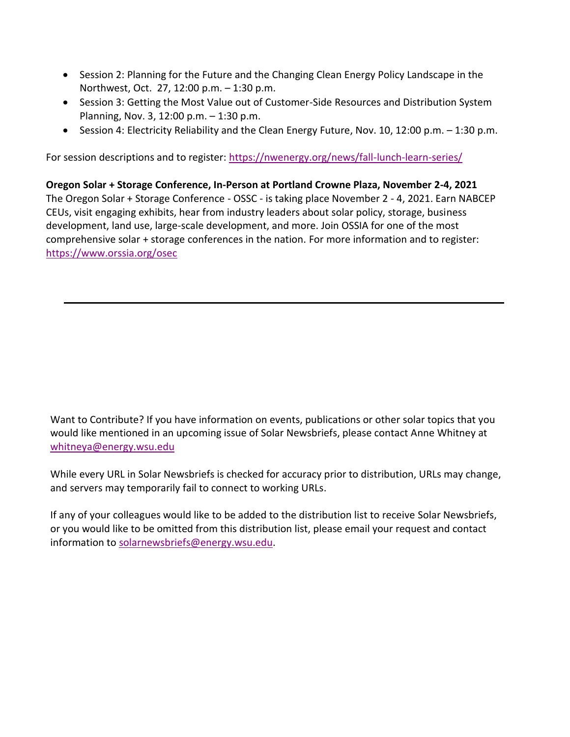- Session 2: Planning for the Future and the Changing Clean Energy Policy Landscape in the Northwest, Oct. 27, 12:00 p.m. – 1:30 p.m.
- Session 3: Getting the Most Value out of Customer-Side Resources and Distribution System Planning, Nov. 3, 12:00 p.m. – 1:30 p.m.
- Session 4: Electricity Reliability and the Clean Energy Future, Nov. 10, 12:00 p.m. 1:30 p.m.

For session descriptions and to register: <https://nwenergy.org/news/fall-lunch-learn-series/>

**Oregon Solar + Storage Conference, In-Person at Portland Crowne Plaza, November 2-4, 2021** The Oregon Solar + Storage Conference - OSSC - is taking place November 2 - 4, 2021. Earn NABCEP CEUs, visit engaging exhibits, hear from industry leaders about solar policy, storage, business development, land use, large-scale development, and more. Join OSSIA for one of the most comprehensive solar + storage conferences in the nation. For more information and to register: <https://www.orssia.org/osec>

Want to Contribute? If you have information on events, publications or other solar topics that you would like mentioned in an upcoming issue of Solar Newsbriefs, please contact Anne Whitney at [whitneya@energy.wsu.edu](mailto:whitneya@energy.wsu.edu)

While every URL in Solar Newsbriefs is checked for accuracy prior to distribution, URLs may change, and servers may temporarily fail to connect to working URLs.

If any of your colleagues would like to be added to the distribution list to receive Solar Newsbriefs, or you would like to be omitted from this distribution list, please email your request and contact information to [solarnewsbriefs@energy.wsu.edu.](mailto:solarnewsbriefs@energy.wsu.edu?subject=Solar%20Newsbriefs)